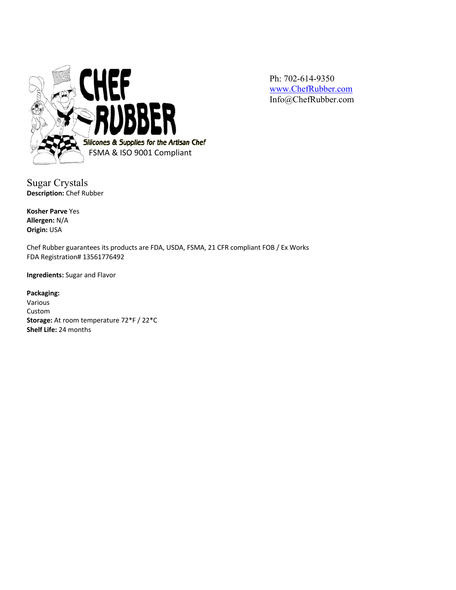

Ph: 702-614-9350 www.ChefRubber.com Info@ChefRubber.com

Sugar Crystals **Description:** Chef Rubber

**Kosher Parve** Yes **Allergen:** N/A **Origin:** USA

Chef Rubber guarantees its products are FDA, USDA, FSMA, 21 CFR compliant FOB / Ex Works FDA Registration# 13561776492

**Ingredients:** Sugar and Flavor

**Packaging:** Various Custom **Storage:** At room temperature 72\*F / 22\*C **Shelf Life:** 24 months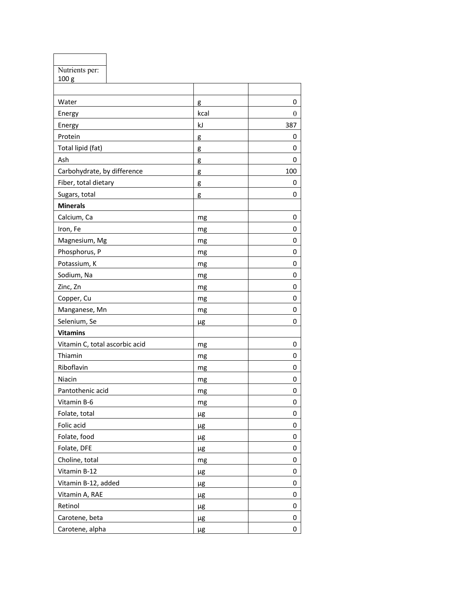| Nutrients per:                 |         |                  |
|--------------------------------|---------|------------------|
| 100 g                          |         |                  |
|                                |         |                  |
| Water                          | g       | 0                |
| Energy                         | kcal    | $\boldsymbol{0}$ |
| Energy                         | kJ      | 387              |
| Protein                        | g       | 0                |
| Total lipid (fat)              | g       | 0                |
| Ash                            | g       | 0                |
| Carbohydrate, by difference    | g       | 100              |
| Fiber, total dietary           | g       | 0                |
| Sugars, total                  | g       | 0                |
| <b>Minerals</b>                |         |                  |
| Calcium, Ca                    | mg      | 0                |
| Iron, Fe                       | mg      | 0                |
| Magnesium, Mg                  | mg      | 0                |
| Phosphorus, P                  | mg      | 0                |
| Potassium, K                   | mg      | 0                |
| Sodium, Na                     | mg      | 0                |
| Zinc, Zn                       | mg      | 0                |
| Copper, Cu                     | mg      | 0                |
| Manganese, Mn                  | mg      | 0                |
| Selenium, Se                   | μg      | 0                |
| <b>Vitamins</b>                |         |                  |
| Vitamin C, total ascorbic acid | mg      | 0                |
| Thiamin                        | mg      | 0                |
| Riboflavin                     | mg      | 0                |
| Niacin                         | mg      | 0                |
| Pantothenic acid               | mg      | 0                |
| Vitamin B-6                    | mg      | 0                |
| Folate, total                  | μg      | 0                |
| Folic acid                     | μg      | 0                |
| Folate, food                   | μg      | 0                |
| Folate, DFE                    | μg      | 0                |
| Choline, total                 | mg      | 0                |
| Vitamin B-12                   | μg      | 0                |
| Vitamin B-12, added            | $\mu$ g | 0                |
| Vitamin A, RAE                 | $\mu$ g | 0                |
| Retinol                        | μg      | 0                |
| Carotene, beta                 | $\mu$ g | 0                |
| Carotene, alpha                | μg      | 0                |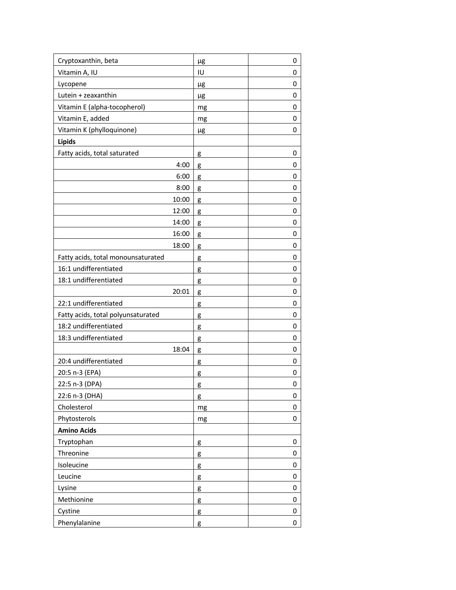| Cryptoxanthin, beta                | μg | 0 |
|------------------------------------|----|---|
| Vitamin A, IU                      | IU | 0 |
| Lycopene                           | μg | 0 |
| Lutein + zeaxanthin                | μg | 0 |
| Vitamin E (alpha-tocopherol)       | mg | 0 |
| Vitamin E, added                   | mg | 0 |
| Vitamin K (phylloquinone)          | μg | 0 |
| Lipids                             |    |   |
| Fatty acids, total saturated       | g  | 0 |
| 4:00                               | g  | 0 |
| 6:00                               | g  | 0 |
| 8:00                               | g  | 0 |
| 10:00                              | g  | 0 |
| 12:00                              | g  | 0 |
| 14:00                              | g  | 0 |
| 16:00                              | g  | 0 |
| 18:00                              | g  | 0 |
| Fatty acids, total monounsaturated | g  | 0 |
| 16:1 undifferentiated              | g  | 0 |
| 18:1 undifferentiated              | g  | 0 |
| 20:01                              | g  | 0 |
| 22:1 undifferentiated              | g  | 0 |
| Fatty acids, total polyunsaturated | g  | 0 |
| 18:2 undifferentiated              | g  | 0 |
| 18:3 undifferentiated              | g  | 0 |
| 18:04                              | g  | 0 |
| 20:4 undifferentiated              | g  | 0 |
| 20:5 n-3 (EPA)                     | g  | 0 |
| 22:5 n-3 (DPA)                     | g  | 0 |
| 22:6 n-3 (DHA)                     | g  | 0 |
| Cholesterol                        | mg | 0 |
| Phytosterols                       | mg | 0 |
| <b>Amino Acids</b>                 |    |   |
| Tryptophan                         | g  | 0 |
| Threonine                          | g  | 0 |
| Isoleucine                         | g  | 0 |
| Leucine                            | g  | 0 |
| Lysine                             | g  | 0 |
| Methionine                         | g  | 0 |
| Cystine                            | g  | 0 |
| Phenylalanine                      | g  | 0 |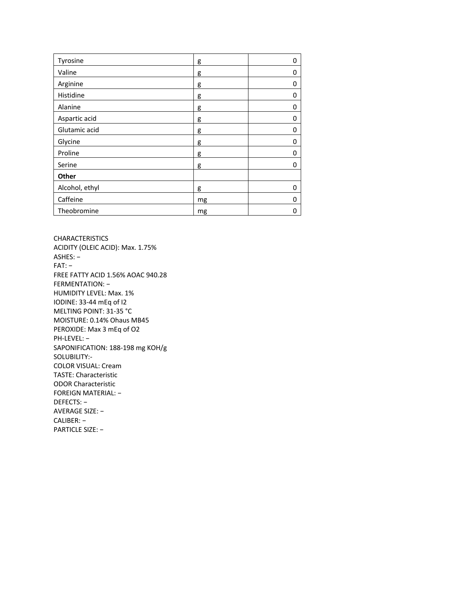| Tyrosine       | g  | 0 |
|----------------|----|---|
| Valine         | g  | 0 |
| Arginine       | g  | 0 |
| Histidine      | g  | 0 |
| Alanine        | g  | 0 |
| Aspartic acid  | g  | 0 |
| Glutamic acid  | g  | 0 |
| Glycine        | g  | 0 |
| Proline        | g  | 0 |
| Serine         | g  | 0 |
| Other          |    |   |
| Alcohol, ethyl | g  | 0 |
| Caffeine       | mg | 0 |
| Theobromine    | mg | 0 |

CHARACTERISTICS ACIDITY (OLEIC ACID): Max. 1.75% ASHES: − FAT: − FREE FATTY ACID 1.56% AOAC 940.28 FERMENTATION: − HUMIDITY LEVEL: Max. 1% IODINE: 33 -44 mEq of I2 MELTING POINT: 31 -35 °C MOISTURE: 0.14% Ohaus MB45 PEROXIDE: Max 3 mEq of O2 PH -LEVEL: − SAPONIFICATION: 188 -198 mg KOH/g SOLUBILITY: - COLOR VISUAL: Cream TASTE: Characteristic ODOR Characteristic FOREIGN MATERIAL: − DEFECTS: − AVERAGE SIZE: − CALIBER: − PARTICLE SIZE: −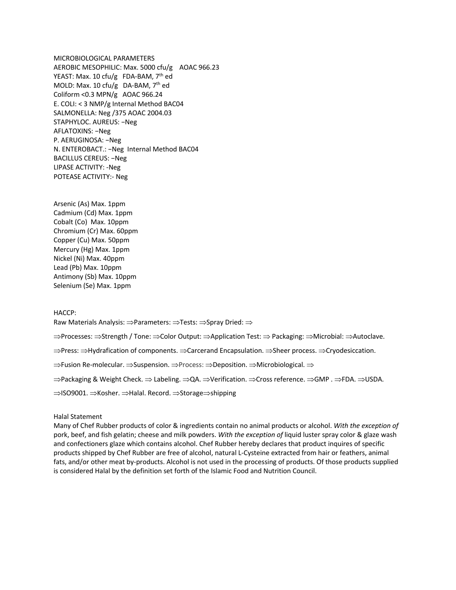MICROBIOLOGICAL PARAMETERS AEROBIC MESOPHILIC: Max. 5000 cfu/g AOAC 966.23 YEAST: Max. 10 cfu/g FDA-BAM,  $7<sup>th</sup>$  ed MOLD: Max. 10 cfu/g DA-BAM,  $7<sup>th</sup>$  ed Coliform <0.3 MPN/g AOAC 966.24 E. COLI: < 3 NMP/g Internal Method BAC04 SALMONELLA: Neg /375 AOAC 2004.03 STAPHYLOC. AUREUS: −Neg AFLATOXINS: −Neg P. AERUGINOSA: −Neg N. ENTEROBACT.: −Neg Internal Method BAC04 BACILLUS CEREUS: −Neg LIPASE ACTIVITY: -Neg POTEASE ACTIVITY:- Neg

Arsenic (As) Max. 1ppm Cadmium (Cd) Max. 1ppm Cobalt (Co) Max. 10ppm Chromium (Cr) Max. 60ppm Copper (Cu) Max. 50ppm Mercury (Hg) Max. 1ppm Nickel (Ni) Max. 40ppm Lead (Pb) Max. 10ppm Antimony (Sb) Max. 10ppm Selenium (Se) Max. 1ppm

## HACCP:

Raw Materials Analysis:  $\Rightarrow$  Parameters:  $\Rightarrow$  Tests:  $\Rightarrow$  Spray Dried:  $\Rightarrow$ 

 $\Rightarrow$ Processes:  $\Rightarrow$ Strength / Tone:  $\Rightarrow$ Color Output:  $\Rightarrow$ Application Test:  $\Rightarrow$  Packaging:  $\Rightarrow$ Microbial:  $\Rightarrow$ Autoclave.

 $\Rightarrow$ Press:  $\Rightarrow$ Hydrafication of components.  $\Rightarrow$ Carcerand Encapsulation.  $\Rightarrow$ Sheer process.  $\Rightarrow$ Cryodesiccation.

 $\Rightarrow$  Fusion Re-molecular.  $\Rightarrow$  Suspension.  $\Rightarrow$  Process:  $\Rightarrow$  Deposition.  $\Rightarrow$  Microbiological.  $\Rightarrow$ 

 $\Rightarrow$ Packaging & Weight Check.  $\Rightarrow$  Labeling.  $\Rightarrow$ QA.  $\Rightarrow$ Verification.  $\Rightarrow$ Cross reference.  $\Rightarrow$ GMP .  $\Rightarrow$ FDA.  $\Rightarrow$ USDA.

⇒ISO9001. ⇒Kosher. ⇒Halal. Record. ⇒Storage⇒shipping

## Halal Statement

Many of Chef Rubber products of color & ingredients contain no animal products or alcohol. *With the exception of* pork, beef, and fish gelatin; cheese and milk powders. *With the exception of* liquid luster spray color & glaze wash and confectioners glaze which contains alcohol. Chef Rubber hereby declares that product inquires of specific products shipped by Chef Rubber are free of alcohol, natural L-Cysteine extracted from hair or feathers, animal fats, and/or other meat by-products. Alcohol is not used in the processing of products. Of those products supplied is considered Halal by the definition set forth of the Islamic Food and Nutrition Council.